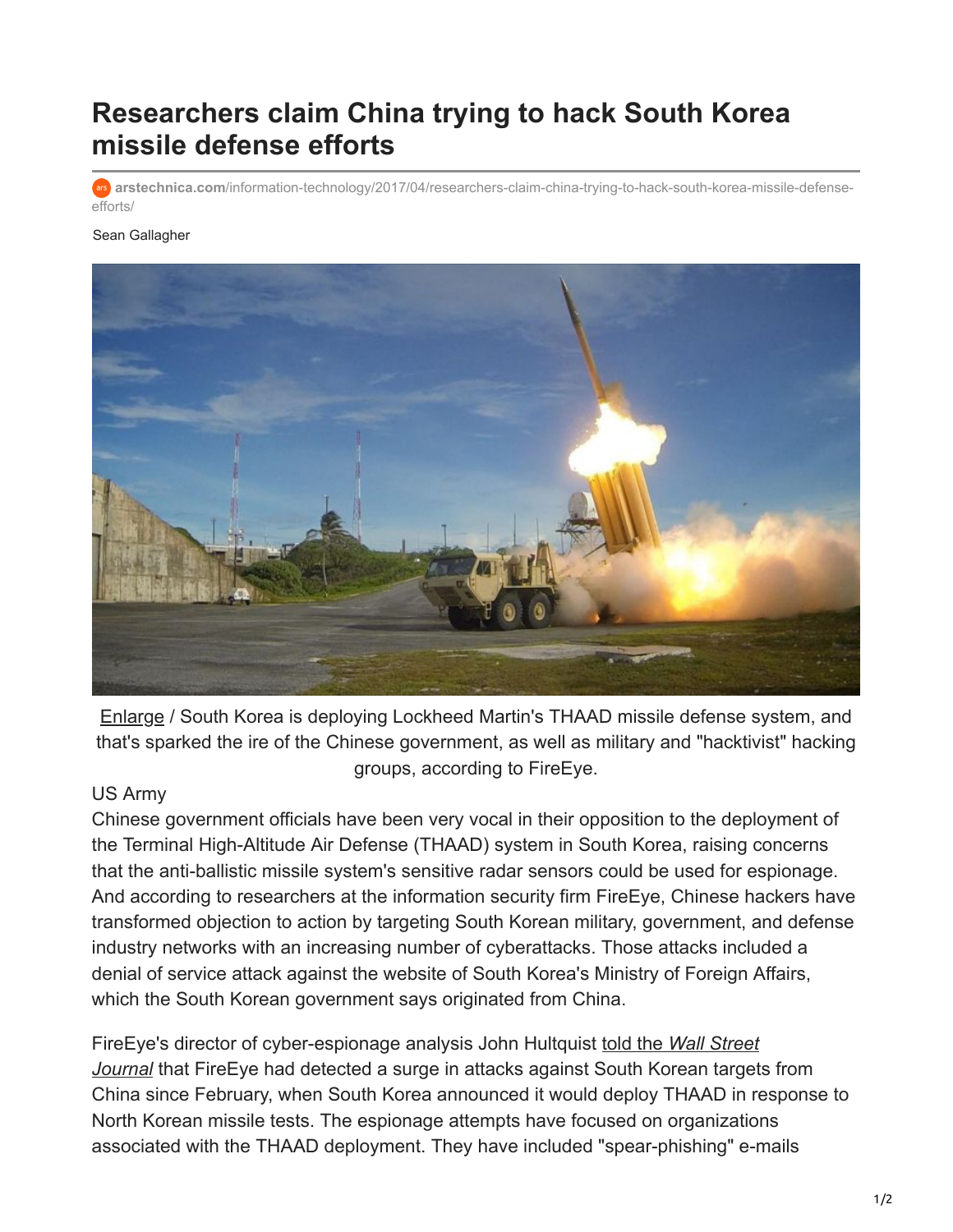## **Researchers claim China trying to hack South Korea missile defense efforts**

**arstechnica.com**[/information-technology/2017/04/researchers-claim-china-trying-to-hack-south-korea-missile-defense](https://arstechnica.com/information-technology/2017/04/researchers-claim-china-trying-to-hack-south-korea-missile-defense-efforts/)efforts/

## Sean Gallagher



[Enlarge](https://cdn.arstechnica.net/wp-content/uploads/2017/04/The_first_of_two_Terminal_High_Altitude_Area_Defense_THAAD_interceptors_is_launched_during_a_successful_intercept_test_-_US_Army.jpg) / South Korea is deploying Lockheed Martin's THAAD missile defense system, and that's sparked the ire of the Chinese government, as well as military and "hacktivist" hacking groups, according to FireEye.

## US Army

Chinese government officials have been very vocal in their opposition to the deployment of the Terminal High-Altitude Air Defense (THAAD) system in South Korea, raising concerns that the anti-ballistic missile system's sensitive radar sensors could be used for espionage. And according to researchers at the information security firm FireEye, Chinese hackers have transformed objection to action by targeting South Korean military, government, and defense industry networks with an increasing number of cyberattacks. Those attacks included a denial of service attack against the website of South Korea's Ministry of Foreign Affairs, which the South Korean government says originated from China.

FireEye's director of cyber-espionage analysis John Hultquist told the *Wall Street Journal* [that FireEye had detected a surge in attacks against South Korean target](https://www.wsj.com/articles/chinas-secret-weapon-in-south-korea-missile-fight-hackers-1492766403?emailToken=JRrydPtyYnqTg9EyZsw31FwuZ7JNEOKCXF7LaW/HM1DLsjnUp6e6wLgph560pnmiTAN/5ssf7moyADPQj2p2Gc+YkL1yi0zhIiUM9M6aj1HTYQ==)s from China since February, when South Korea announced it would deploy THAAD in response to North Korean missile tests. The espionage attempts have focused on organizations associated with the THAAD deployment. They have included "spear-phishing" e-mails